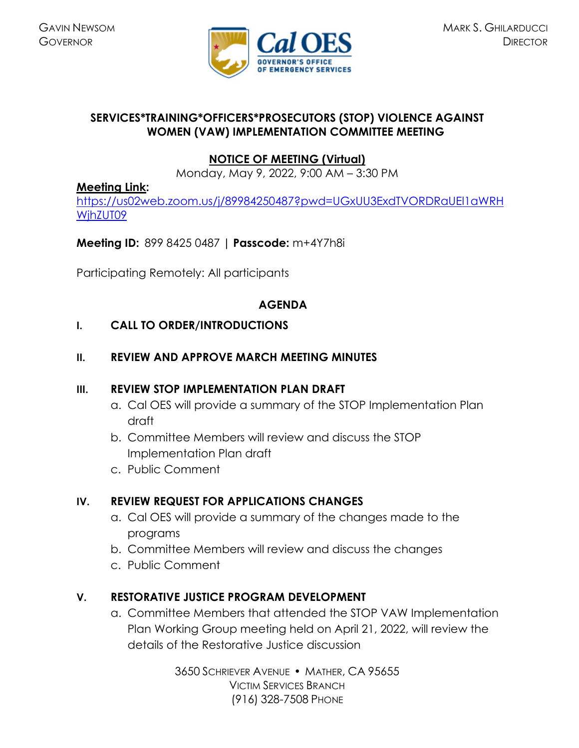

# **SERVICES\*TRAINING\*OFFICERS\*PROSECUTORS (STOP) VIOLENCE AGAINST WOMEN (VAW) IMPLEMENTATION COMMITTEE MEETING**

# **[NOTICE OF MEETING](https://caloes.ca.gov/cal-oes-divisions/grants-management/victim-services/meeting-public-notices) (Virtual)**

Monday, May 9, 2022, 9:00 AM – 3:30 PM

#### **[Meeting Link:](https://us02web.zoom.us/j/84139427391?pwd=NmtzTm84MXpMK0MxV0JoRkVhdGd0dz09)**

[https://us02web.zoom.us/j/89984250487?pwd=UGxUU3ExdTVORDRaUEl1aWRH](https://us02web.zoom.us/j/89984250487?pwd=UGxUU3ExdTVORDRaUEl1aWRHWjhZUT09) [WjhZUT09](https://us02web.zoom.us/j/89984250487?pwd=UGxUU3ExdTVORDRaUEl1aWRHWjhZUT09)

# **Meeting ID:** 899 8425 0487 **| Passcode:** m+4Y7h8i

Participating Remotely: All participants

#### **AGENDA**

# **I. CALL TO ORDER/INTRODUCTIONS**

# **II. REVIEW AND APPROVE MARCH MEETING MINUTES**

#### **III. REVIEW STOP IMPLEMENTATION PLAN DRAFT**

- a. Cal OES will provide a summary of the STOP Implementation Plan draft
- b. Committee Members will review and discuss the STOP Implementation Plan draft
- c. Public Comment

# **IV. REVIEW REQUEST FOR APPLICATIONS CHANGES**

- a. Cal OES will provide a summary of the changes made to the programs
- b. Committee Members will review and discuss the changes
- c. Public Comment

# **V. RESTORATIVE JUSTICE PROGRAM DEVELOPMENT**

a. Committee Members that attended the STOP VAW Implementation Plan Working Group meeting held on April 21, 2022, will review the details of the Restorative Justice discussion

> 3650 SCHRIEVER AVENUE MATHER, CA 95655 VICTIM SERVICES BRANCH (916) 328-7508 PHONE